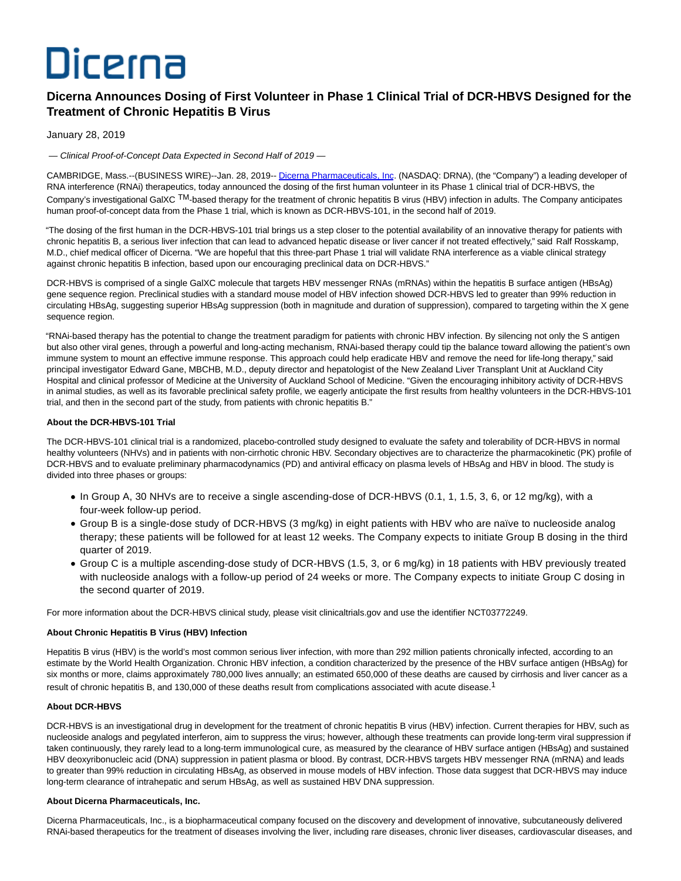# Dicerna

# **Dicerna Announces Dosing of First Volunteer in Phase 1 Clinical Trial of DCR-HBVS Designed for the Treatment of Chronic Hepatitis B Virus**

## January 28, 2019

— Clinical Proof-of-Concept Data Expected in Second Half of 2019 —

CAMBRIDGE, Mass.--(BUSINESS WIRE)--Jan. 28, 2019-- [Dicerna Pharmaceuticals, Inc.](https://cts.businesswire.com/ct/CT?id=smartlink&url=http%3A%2F%2Fwww.dicerna.com&esheet=51931168&newsitemid=20190128005154&lan=en-US&anchor=Dicerna+Pharmaceuticals%2C+Inc&index=1&md5=d30dac0f0ecab590367e91656423bce2) (NASDAQ: DRNA), (the "Company") a leading developer of RNA interference (RNAi) therapeutics, today announced the dosing of the first human volunteer in its Phase 1 clinical trial of DCR-HBVS, the Company's investigational GalXC TM-based therapy for the treatment of chronic hepatitis B virus (HBV) infection in adults. The Company anticipates human proof-of-concept data from the Phase 1 trial, which is known as DCR-HBVS-101, in the second half of 2019.

"The dosing of the first human in the DCR-HBVS-101 trial brings us a step closer to the potential availability of an innovative therapy for patients with chronic hepatitis B, a serious liver infection that can lead to advanced hepatic disease or liver cancer if not treated effectively," said Ralf Rosskamp, M.D., chief medical officer of Dicerna. "We are hopeful that this three-part Phase 1 trial will validate RNA interference as a viable clinical strategy against chronic hepatitis B infection, based upon our encouraging preclinical data on DCR-HBVS."

DCR-HBVS is comprised of a single GalXC molecule that targets HBV messenger RNAs (mRNAs) within the hepatitis B surface antigen (HBsAg) gene sequence region. Preclinical studies with a standard mouse model of HBV infection showed DCR-HBVS led to greater than 99% reduction in circulating HBsAg, suggesting superior HBsAg suppression (both in magnitude and duration of suppression), compared to targeting within the X gene sequence region.

"RNAi-based therapy has the potential to change the treatment paradigm for patients with chronic HBV infection. By silencing not only the S antigen but also other viral genes, through a powerful and long-acting mechanism, RNAi-based therapy could tip the balance toward allowing the patient's own immune system to mount an effective immune response. This approach could help eradicate HBV and remove the need for life-long therapy," said principal investigator Edward Gane, MBCHB, M.D., deputy director and hepatologist of the New Zealand Liver Transplant Unit at Auckland City Hospital and clinical professor of Medicine at the University of Auckland School of Medicine. "Given the encouraging inhibitory activity of DCR-HBVS in animal studies, as well as its favorable preclinical safety profile, we eagerly anticipate the first results from healthy volunteers in the DCR-HBVS-101 trial, and then in the second part of the study, from patients with chronic hepatitis B."

# **About the DCR-HBVS-101 Trial**

The DCR-HBVS-101 clinical trial is a randomized, placebo-controlled study designed to evaluate the safety and tolerability of DCR-HBVS in normal healthy volunteers (NHVs) and in patients with non-cirrhotic chronic HBV. Secondary objectives are to characterize the pharmacokinetic (PK) profile of DCR-HBVS and to evaluate preliminary pharmacodynamics (PD) and antiviral efficacy on plasma levels of HBsAg and HBV in blood. The study is divided into three phases or groups:

- In Group A, 30 NHVs are to receive a single ascending-dose of DCR-HBVS (0.1, 1, 1.5, 3, 6, or 12 mg/kg), with a four-week follow-up period.
- Group B is a single-dose study of DCR-HBVS (3 mg/kg) in eight patients with HBV who are naïve to nucleoside analog therapy; these patients will be followed for at least 12 weeks. The Company expects to initiate Group B dosing in the third quarter of 2019.
- Group C is a multiple ascending-dose study of DCR-HBVS (1.5, 3, or 6 mg/kg) in 18 patients with HBV previously treated with nucleoside analogs with a follow-up period of 24 weeks or more. The Company expects to initiate Group C dosing in the second quarter of 2019.

For more information about the DCR-HBVS clinical study, please visit clinicaltrials.gov and use the identifier NCT03772249.

#### **About Chronic Hepatitis B Virus (HBV) Infection**

Hepatitis B virus (HBV) is the world's most common serious liver infection, with more than 292 million patients chronically infected, according to an estimate by the World Health Organization. Chronic HBV infection, a condition characterized by the presence of the HBV surface antigen (HBsAg) for six months or more, claims approximately 780,000 lives annually; an estimated 650,000 of these deaths are caused by cirrhosis and liver cancer as a result of chronic hepatitis B, and 130,000 of these deaths result from complications associated with acute disease.<sup>1</sup>

#### **About DCR-HBVS**

DCR-HBVS is an investigational drug in development for the treatment of chronic hepatitis B virus (HBV) infection. Current therapies for HBV, such as nucleoside analogs and pegylated interferon, aim to suppress the virus; however, although these treatments can provide long-term viral suppression if taken continuously, they rarely lead to a long-term immunological cure, as measured by the clearance of HBV surface antigen (HBsAg) and sustained HBV deoxyribonucleic acid (DNA) suppression in patient plasma or blood. By contrast, DCR-HBVS targets HBV messenger RNA (mRNA) and leads to greater than 99% reduction in circulating HBsAg, as observed in mouse models of HBV infection. Those data suggest that DCR-HBVS may induce long-term clearance of intrahepatic and serum HBsAg, as well as sustained HBV DNA suppression.

#### **About Dicerna Pharmaceuticals, Inc.**

Dicerna Pharmaceuticals, Inc., is a biopharmaceutical company focused on the discovery and development of innovative, subcutaneously delivered RNAi-based therapeutics for the treatment of diseases involving the liver, including rare diseases, chronic liver diseases, cardiovascular diseases, and